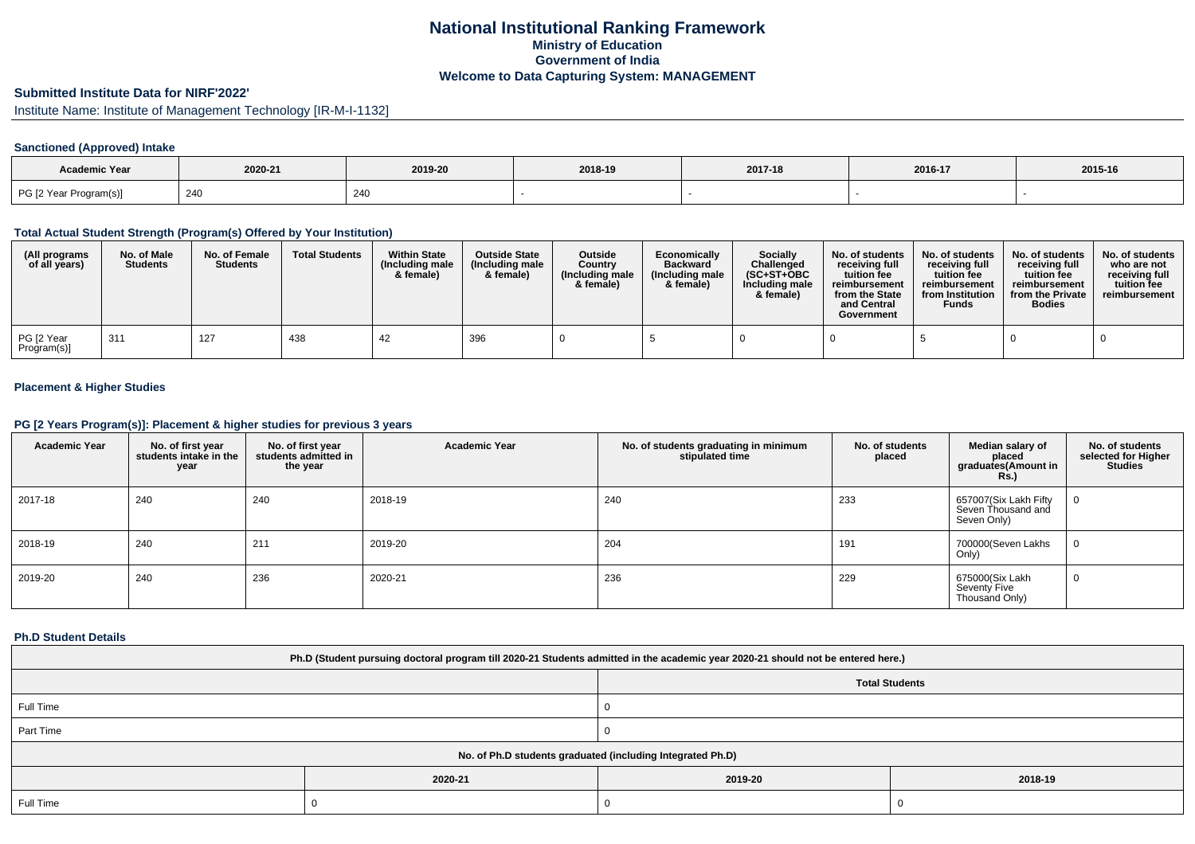## **National Institutional Ranking FrameworkMinistry of Education Government of IndiaWelcome to Data Capturing System: MANAGEMENT**

# **Submitted Institute Data for NIRF'2022'**

Institute Name: Institute of Management Technology [IR-M-I-1132]

## **Sanctioned (Approved) Intake**

| Academic Year          | 2020-21<br>2019-20 |     | 2018-19 | 2017-18 | 2016-17 | 2015-16 |
|------------------------|--------------------|-----|---------|---------|---------|---------|
| PG [2 Year Program(s)] | 240                | 240 |         |         |         |         |

#### **Total Actual Student Strength (Program(s) Offered by Your Institution)**

| (All programs<br>of all years) | No. of Male<br><b>Students</b> | No. of Female<br><b>Students</b> | <b>Total Students</b> | <b>Within State</b><br>(Including male<br>& female) | <b>Outside State</b><br>(Including male<br>& female) | Outside<br>Country<br>(Including male<br>& female) | Economically<br><b>Backward</b><br>(Including male<br>& female) | <b>Socially</b><br>Challenged<br>$(SC+ST+OBC$<br>Including male<br>& female) | No. of students<br>receivina full<br>tuition fee<br>reimbursement<br>from the State<br>and Central<br>Government | No. of students<br>receiving full<br>tuition fee<br>reimbursement<br>from Institution<br><b>Funds</b> | No. of students<br>receiving full<br>tuition fee<br>reimbursement<br>from the Private<br><b>Bodies</b> | No. of students  <br>who are not<br>receivina full<br>tuition fee<br>reimbursement |
|--------------------------------|--------------------------------|----------------------------------|-----------------------|-----------------------------------------------------|------------------------------------------------------|----------------------------------------------------|-----------------------------------------------------------------|------------------------------------------------------------------------------|------------------------------------------------------------------------------------------------------------------|-------------------------------------------------------------------------------------------------------|--------------------------------------------------------------------------------------------------------|------------------------------------------------------------------------------------|
| PG [2 Year<br>Program(s)]      | -311                           | 127                              | 438                   | 42                                                  | 396                                                  |                                                    |                                                                 |                                                                              |                                                                                                                  |                                                                                                       |                                                                                                        |                                                                                    |

## **Placement & Higher Studies**

#### **PG [2 Years Program(s)]: Placement & higher studies for previous 3 years**

| <b>Academic Year</b> | No. of first year<br>students intake in the<br>year | No. of first year<br>students admitted in<br>the year | <b>Academic Year</b> | No. of students graduating in minimum<br>stipulated time | No. of students<br>placed | Median salary of<br>placed<br>graduates(Amount in<br><b>Rs.</b> ) | No. of students<br>selected for Higher<br><b>Studies</b> |
|----------------------|-----------------------------------------------------|-------------------------------------------------------|----------------------|----------------------------------------------------------|---------------------------|-------------------------------------------------------------------|----------------------------------------------------------|
| 2017-18              | 240                                                 | 240                                                   | 2018-19              | 240                                                      | 233                       | 657007(Six Lakh Fifty<br>Seven Thousand and<br>Seven Only)        | U                                                        |
| 2018-19              | 240                                                 | 211                                                   | 2019-20              | 204                                                      | 191                       | 700000(Seven Lakhs<br>Only)                                       |                                                          |
| 2019-20              | 240                                                 | 236                                                   | 2020-21              | 236                                                      | 229                       | 675000(Six Lakh<br>Seventy Five<br>Thousand Only)                 | 0                                                        |

#### **Ph.D Student Details**

| Ph.D (Student pursuing doctoral program till 2020-21 Students admitted in the academic year 2020-21 should not be entered here.) |         |                       |         |  |  |  |
|----------------------------------------------------------------------------------------------------------------------------------|---------|-----------------------|---------|--|--|--|
|                                                                                                                                  |         | <b>Total Students</b> |         |  |  |  |
| Full Time                                                                                                                        |         |                       |         |  |  |  |
| Part Time                                                                                                                        |         |                       |         |  |  |  |
| No. of Ph.D students graduated (including Integrated Ph.D)                                                                       |         |                       |         |  |  |  |
|                                                                                                                                  | 2020-21 | 2019-20               | 2018-19 |  |  |  |
| Full Time                                                                                                                        |         |                       |         |  |  |  |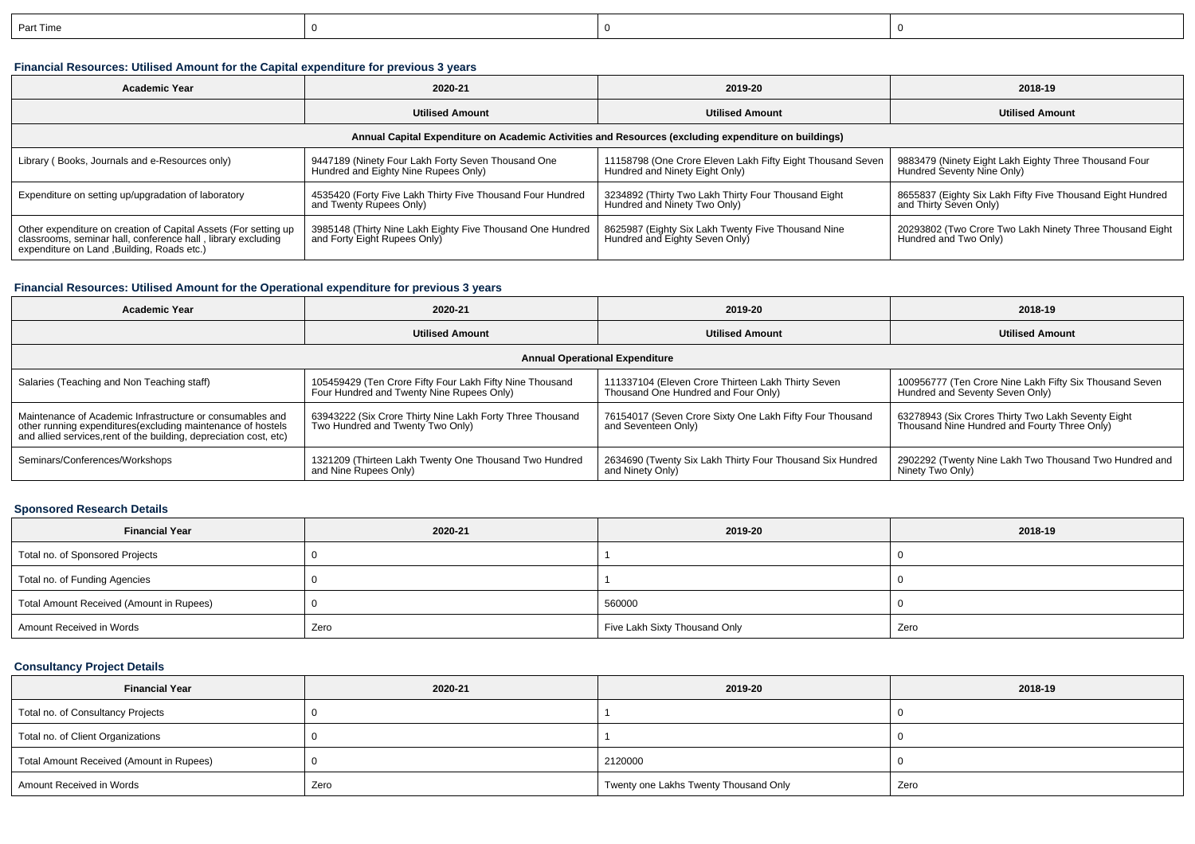| Part Time |  |  |
|-----------|--|--|
|           |  |  |

## **Financial Resources: Utilised Amount for the Capital expenditure for previous 3 years**

| <b>Academic Year</b><br>2020-21                                                                                                                                                |                                                                                            | 2019-20                                                                                      | 2018-19                                                                              |  |  |  |  |  |
|--------------------------------------------------------------------------------------------------------------------------------------------------------------------------------|--------------------------------------------------------------------------------------------|----------------------------------------------------------------------------------------------|--------------------------------------------------------------------------------------|--|--|--|--|--|
|                                                                                                                                                                                | <b>Utilised Amount</b>                                                                     | <b>Utilised Amount</b>                                                                       | <b>Utilised Amount</b>                                                               |  |  |  |  |  |
| Annual Capital Expenditure on Academic Activities and Resources (excluding expenditure on buildings)                                                                           |                                                                                            |                                                                                              |                                                                                      |  |  |  |  |  |
| Library (Books, Journals and e-Resources only)                                                                                                                                 | 9447189 (Ninety Four Lakh Forty Seven Thousand One<br>Hundred and Eighty Nine Rupees Only) | 11158798 (One Crore Eleven Lakh Fifty Eight Thousand Seven<br>Hundred and Ninety Eight Only) | 9883479 (Ninety Eight Lakh Eighty Three Thousand Four<br>Hundred Seventy Nine Only)  |  |  |  |  |  |
| Expenditure on setting up/upgradation of laboratory                                                                                                                            | 4535420 (Forty Five Lakh Thirty Five Thousand Four Hundred<br>and Twenty Rupees Only)      | 3234892 (Thirty Two Lakh Thirty Four Thousand Eight<br>Hundred and Ninety Two Only)          | 8655837 (Eighty Six Lakh Fifty Five Thousand Eight Hundred<br>and Thirty Seven Only) |  |  |  |  |  |
| Other expenditure on creation of Capital Assets (For setting up<br>classrooms, seminar hall, conference hall, library excluding<br>expenditure on Land , Building, Roads etc.) | 3985148 (Thirty Nine Lakh Eighty Five Thousand One Hundred<br>and Forty Eight Rupees Only) | 8625987 (Eighty Six Lakh Twenty Five Thousand Nine<br>Hundred and Eighty Seven Only)         | 20293802 (Two Crore Two Lakh Ninety Three Thousand Eight<br>Hundred and Two Only)    |  |  |  |  |  |

### **Financial Resources: Utilised Amount for the Operational expenditure for previous 3 years**

| Academic Year                                                                                                                                                                                   | 2020-21                                                                                               | 2019-20                                                                                   | 2018-19                                                                                            |  |  |  |  |  |
|-------------------------------------------------------------------------------------------------------------------------------------------------------------------------------------------------|-------------------------------------------------------------------------------------------------------|-------------------------------------------------------------------------------------------|----------------------------------------------------------------------------------------------------|--|--|--|--|--|
|                                                                                                                                                                                                 | <b>Utilised Amount</b>                                                                                | <b>Utilised Amount</b>                                                                    | <b>Utilised Amount</b>                                                                             |  |  |  |  |  |
| <b>Annual Operational Expenditure</b>                                                                                                                                                           |                                                                                                       |                                                                                           |                                                                                                    |  |  |  |  |  |
| Salaries (Teaching and Non Teaching staff)                                                                                                                                                      | 105459429 (Ten Crore Fifty Four Lakh Fifty Nine Thousand<br>Four Hundred and Twenty Nine Rupees Only) | 111337104 (Eleven Crore Thirteen Lakh Thirty Seven<br>Thousand One Hundred and Four Only) | 100956777 (Ten Crore Nine Lakh Fifty Six Thousand Seven<br>Hundred and Seventy Seven Only)         |  |  |  |  |  |
| Maintenance of Academic Infrastructure or consumables and<br>other running expenditures (excluding maintenance of hostels<br>and allied services, rent of the building, depreciation cost, etc) | 63943222 (Six Crore Thirty Nine Lakh Forty Three Thousand<br>Two Hundred and Twenty Two Only)         | 76154017 (Seven Crore Sixty One Lakh Fifty Four Thousand<br>and Seventeen Only)           | 63278943 (Six Crores Thirty Two Lakh Seventy Eight<br>Thousand Nine Hundred and Fourty Three Only) |  |  |  |  |  |
| Seminars/Conferences/Workshops                                                                                                                                                                  | 1321209 (Thirteen Lakh Twenty One Thousand Two Hundred<br>and Nine Rupees Only)                       | 2634690 (Twenty Six Lakh Thirty Four Thousand Six Hundred<br>and Ninety Only)             | 2902292 (Twenty Nine Lakh Two Thousand Two Hundred and<br>Ninety Two Only)                         |  |  |  |  |  |

#### **Sponsored Research Details**

| <b>Financial Year</b>                    | 2020-21 | 2019-20                       | 2018-19 |
|------------------------------------------|---------|-------------------------------|---------|
| Total no. of Sponsored Projects          |         |                               |         |
| Total no. of Funding Agencies            |         |                               |         |
| Total Amount Received (Amount in Rupees) |         | 560000                        |         |
| Amount Received in Words                 | Zero    | Five Lakh Sixty Thousand Only | Zero    |

## **Consultancy Project Details**

| <b>Financial Year</b>                    | 2020-21 |                                       | 2018-19 |
|------------------------------------------|---------|---------------------------------------|---------|
| Total no. of Consultancy Projects        |         |                                       |         |
| Total no. of Client Organizations        |         |                                       |         |
| Total Amount Received (Amount in Rupees) |         | 2120000                               |         |
| Amount Received in Words                 | Zero    | Twenty one Lakhs Twenty Thousand Only | Zero    |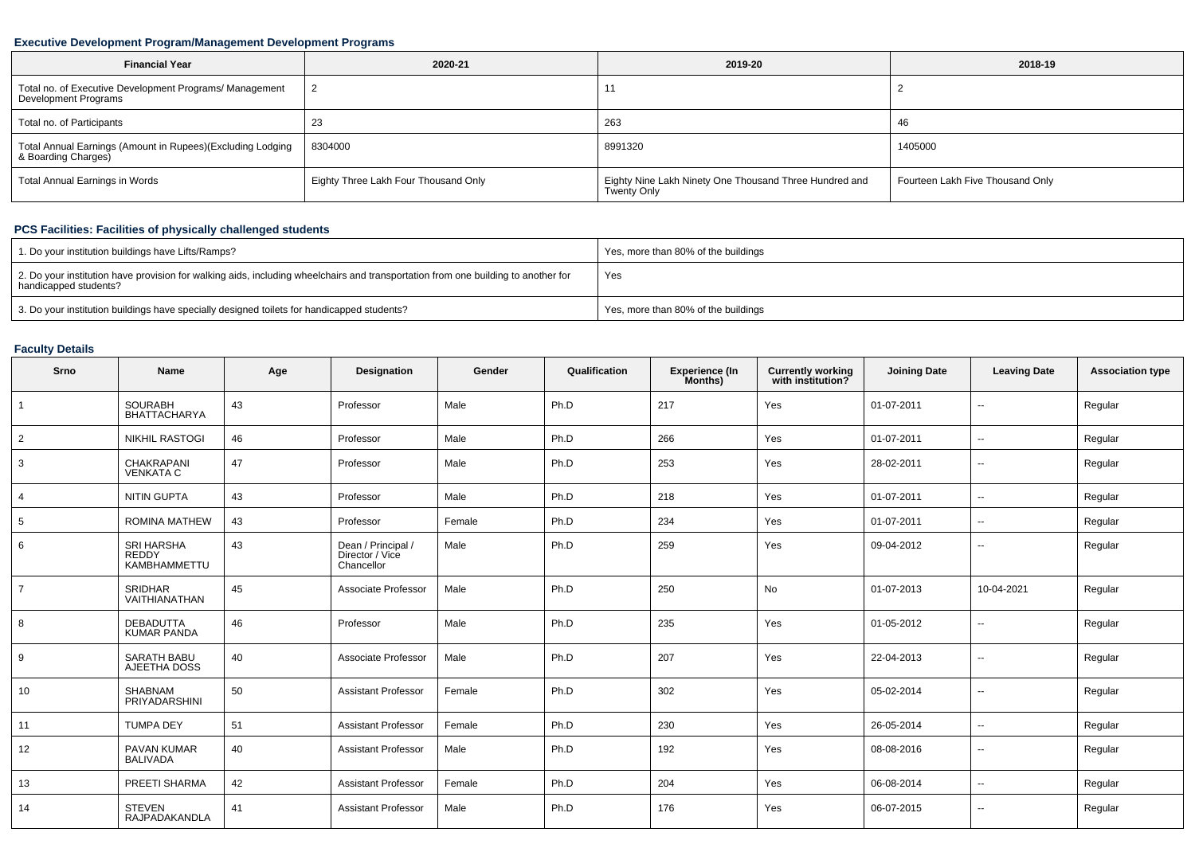### **Executive Development Program/Management Development Programs**

| <b>Financial Year</b>                                                             | 2020-21                              | 2019-20                                                               | 2018-19                          |
|-----------------------------------------------------------------------------------|--------------------------------------|-----------------------------------------------------------------------|----------------------------------|
| Total no. of Executive Development Programs/ Management<br>Development Programs   |                                      |                                                                       |                                  |
| Total no. of Participants                                                         | 23                                   | 263                                                                   | 46                               |
| Total Annual Earnings (Amount in Rupees)(Excluding Lodging<br>& Boarding Charges) | 8304000                              | 8991320                                                               | 1405000                          |
| <b>Total Annual Earnings in Words</b>                                             | Eighty Three Lakh Four Thousand Only | Eighty Nine Lakh Ninety One Thousand Three Hundred and<br>Twenty Only | Fourteen Lakh Five Thousand Only |

## **PCS Facilities: Facilities of physically challenged students**

| 1. Do your institution buildings have Lifts/Ramps?                                                                                                         | Yes, more than 80% of the buildings |
|------------------------------------------------------------------------------------------------------------------------------------------------------------|-------------------------------------|
| 2. Do your institution have provision for walking aids, including wheelchairs and transportation from one building to another for<br>handicapped students? | Yes                                 |
| 3. Do your institution buildings have specially designed toilets for handicapped students?                                                                 | Yes, more than 80% of the buildings |

## **Faculty Details**

| Srno            | Name                                                     | Age | Designation                                         | Gender | Qualification | <b>Experience (In</b><br>Months) | <b>Currently working</b><br>with institution? | <b>Joining Date</b> | <b>Leaving Date</b>      | <b>Association type</b> |
|-----------------|----------------------------------------------------------|-----|-----------------------------------------------------|--------|---------------|----------------------------------|-----------------------------------------------|---------------------|--------------------------|-------------------------|
| $\overline{1}$  | <b>SOURABH</b><br><b>BHATTACHARYA</b>                    | 43  | Professor                                           | Male   | Ph.D          | 217                              | Yes                                           | 01-07-2011          | $\sim$                   | Regular                 |
| $\overline{2}$  | <b>NIKHIL RASTOGI</b>                                    | 46  | Professor                                           | Male   | Ph.D          | 266                              | Yes                                           | 01-07-2011          | $\overline{\phantom{a}}$ | Regular                 |
| 3               | CHAKRAPANI<br><b>VENKATA C</b>                           | 47  | Professor                                           | Male   | Ph.D          | 253                              | Yes                                           | 28-02-2011          | $\overline{\phantom{a}}$ | Regular                 |
| 4               | <b>NITIN GUPTA</b>                                       | 43  | Professor                                           | Male   | Ph.D          | 218                              | Yes                                           | 01-07-2011          | $\overline{\phantom{a}}$ | Regular                 |
| $5\overline{5}$ | ROMINA MATHEW                                            | 43  | Professor                                           | Female | Ph.D          | 234                              | Yes                                           | 01-07-2011          | $\sim$                   | Regular                 |
| 6               | <b>SRI HARSHA</b><br><b>REDDY</b><br><b>KAMBHAMMETTU</b> | 43  | Dean / Principal /<br>Director / Vice<br>Chancellor | Male   | Ph.D          | 259                              | Yes                                           | 09-04-2012          | $\overline{\phantom{a}}$ | Regular                 |
| $\overline{7}$  | <b>SRIDHAR</b><br>VAITHIANATHAN                          | 45  | Associate Professor                                 | Male   | Ph.D          | 250                              | No                                            | 01-07-2013          | 10-04-2021               | Regular                 |
| 8               | <b>DEBADUTTA</b><br><b>KUMAR PANDA</b>                   | 46  | Professor                                           | Male   | Ph.D          | 235                              | Yes                                           | 01-05-2012          | $\overline{\phantom{a}}$ | Regular                 |
| 9               | <b>SARATH BABU</b><br>AJEETHA DOSS                       | 40  | Associate Professor                                 | Male   | Ph.D          | 207                              | Yes                                           | 22-04-2013          | $\overline{\phantom{a}}$ | Regular                 |
| 10              | SHABNAM<br>PRIYADARSHINI                                 | 50  | <b>Assistant Professor</b>                          | Female | Ph.D          | 302                              | Yes                                           | 05-02-2014          | $\sim$                   | Regular                 |
| 11              | <b>TUMPA DEY</b>                                         | 51  | <b>Assistant Professor</b>                          | Female | Ph.D          | 230                              | Yes                                           | 26-05-2014          | $\sim$                   | Regular                 |
| 12              | PAVAN KUMAR<br><b>BALIVADA</b>                           | 40  | <b>Assistant Professor</b>                          | Male   | Ph.D          | 192                              | Yes                                           | 08-08-2016          | $\sim$                   | Regular                 |
| 13              | PREETI SHARMA                                            | 42  | <b>Assistant Professor</b>                          | Female | Ph.D          | 204                              | Yes                                           | 06-08-2014          | $\sim$                   | Regular                 |
| 14              | <b>STEVEN</b><br>RAJPADAKANDLA                           | 41  | <b>Assistant Professor</b>                          | Male   | Ph.D          | 176                              | Yes                                           | 06-07-2015          | $\sim$                   | Regular                 |